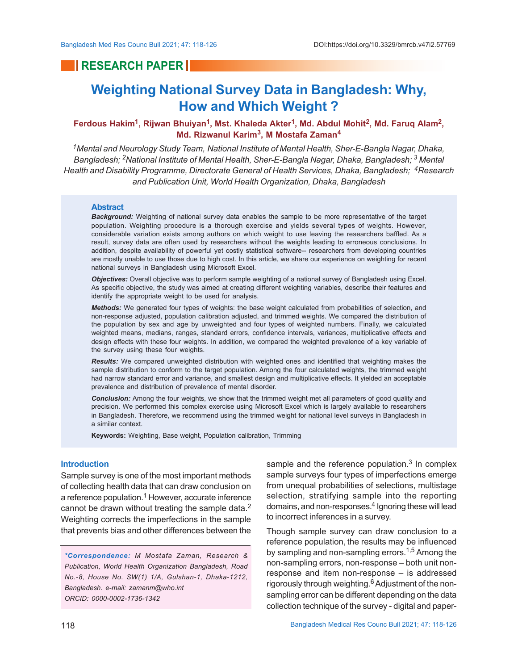# **RESEARCH PAPER**

# **Weighting National Survey Data in Bangladesh: Why, How and Which Weight ?**

# **Ferdous Hakim<sup>1</sup> , Rijwan Bhuiyan<sup>1</sup> , Mst. Khaleda Akter<sup>1</sup> , Md. Abdul Mohit<sup>2</sup> , Md. Faruq Alam<sup>2</sup> , Md. Rizwanul Karim<sup>3</sup> , M Mostafa Zaman<sup>4</sup>**

*<sup>1</sup>Mental and Neurology Study Team, National Institute of Mental Health, Sher-E-Bangla Nagar, Dhaka, Bangladesh; 2National Institute of Mental Health, Sher-E-Bangla Nagar, Dhaka, Bangladesh; 3 Mental Health and Disability Programme, Directorate General of Health Services, Dhaka, Bangladesh; <sup>4</sup>Research and Publication Unit, World Health Organization, Dhaka, Bangladesh*

#### **Abstract**

*Background:* Weighting of national survey data enables the sample to be more representative of the target population. Weighting procedure is a thorough exercise and yields several types of weights. However, considerable variation exists among authors on which weight to use leaving the researchers baffled. As a result, survey data are often used by researchers without the weights leading to erroneous conclusions. In addition, despite availability of powerful yet costly statistical software-- researchers from developing countries are mostly unable to use those due to high cost. In this article, we share our experience on weighting for recent national surveys in Bangladesh using Microsoft Excel.

*Objectives:* Overall objective was to perform sample weighting of a national survey of Bangladesh using Excel. As specific objective, the study was aimed at creating different weighting variables, describe their features and identify the appropriate weight to be used for analysis.

*Methods:* We generated four types of weights: the base weight calculated from probabilities of selection, and non-response adjusted, population calibration adjusted, and trimmed weights. We compared the distribution of the population by sex and age by unweighted and four types of weighted numbers. Finally, we calculated weighted means, medians, ranges, standard errors, confidence intervals, variances, multiplicative effects and design effects with these four weights. In addition, we compared the weighted prevalence of a key variable of the survey using these four weights.

*Results:* We compared unweighted distribution with weighted ones and identified that weighting makes the sample distribution to conform to the target population. Among the four calculated weights, the trimmed weight had narrow standard error and variance, and smallest design and multiplicative effects. It yielded an acceptable prevalence and distribution of prevalence of mental disorder.

*Conclusion:* Among the four weights, we show that the trimmed weight met all parameters of good quality and precision. We performed this complex exercise using Microsoft Excel which is largely available to researchers in Bangladesh. Therefore, we recommend using the trimmed weight for national level surveys in Bangladesh in a similar context.

**Keywords:** Weighting, Base weight, Population calibration, Trimming

#### **Introduction**

Sample survey is one of the most important methods of collecting health data that can draw conclusion on a reference population.<sup>1</sup> However, accurate inference cannot be drawn without treating the sample data.<sup>2</sup> Weighting corrects the imperfections in the sample that prevents bias and other differences between the

*\*Correspondence: M Mostafa Zaman, Research & Publication, World Health Organization Bangladesh, Road No.-8, House No. SW(1) 1/A, Gulshan-1, Dhaka-1212, Bangladesh. e-mail: zamanm@who.int ORCID: 0000-0002-1736-1342*

sample and the reference population. $3$  In complex sample surveys four types of imperfections emerge from unequal probabilities of selections, multistage selection, stratifying sample into the reporting domains, and non-responses.<sup>4</sup> Ignoring these will lead to incorrect inferences in a survey.

Though sample survey can draw conclusion to a reference population, the results may be influenced by sampling and non-sampling errors.<sup>1,5</sup> Among the non-sampling errors, non-response – both unit nonresponse and item non-response – is addressed rigorously through weighting.<sup>6</sup> Adjustment of the nonsampling error can be different depending on the data collection technique of the survey - digital and paper-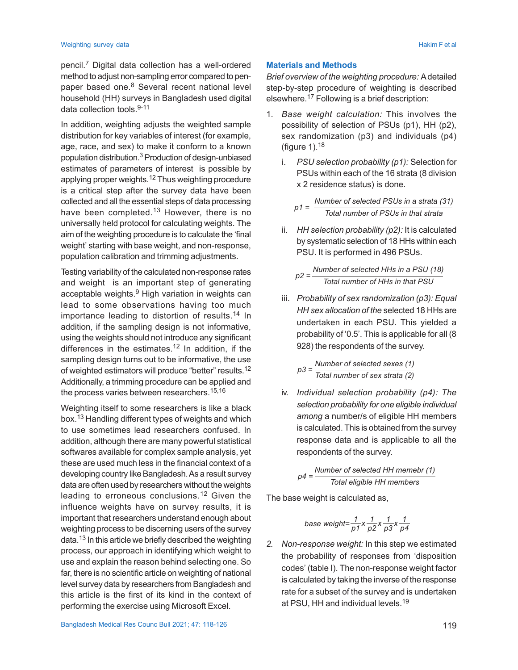pencil.<sup>7</sup> Digital data collection has a well-ordered method to adjust non-sampling error compared to penpaper based one.<sup>8</sup> Several recent national level household (HH) surveys in Bangladesh used digital data collection tools.9-11

In addition, weighting adjusts the weighted sample distribution for key variables of interest (for example, age, race, and sex) to make it conform to a known population distribution.<sup>3</sup> Production of design-unbiased estimates of parameters of interest is possible by applying proper weights.<sup>12</sup> Thus weighting procedure is a critical step after the survey data have been collected and all the essential steps of data processing have been completed.<sup>13</sup> However, there is no universally held protocol for calculating weights. The aim of the weighting procedure is to calculate the 'final weight' starting with base weight, and non-response, population calibration and trimming adjustments.

Testing variability of the calculated non-response rates and weight is an important step of generating acceptable weights.<sup>9</sup> High variation in weights can lead to some observations having too much importance leading to distortion of results.<sup>14</sup> In addition, if the sampling design is not informative, using the weights should not introduce any significant differences in the estimates.12 In addition, if the sampling design turns out to be informative, the use of weighted estimators will produce "better" results.<sup>12</sup> Additionally, a trimming procedure can be applied and the process varies between researchers.<sup>15,16</sup>

Weighting itself to some researchers is like a black box.13 Handling different types of weights and which to use sometimes lead researchers confused. In addition, although there are many powerful statistical softwares available for complex sample analysis, yet these are used much less in the financial context of a developing country like Bangladesh. As a result survey data are often used by researchers without the weights leading to erroneous conclusions.12 Given the influence weights have on survey results, it is important that researchers understand enough about weighting process to be discerning users of the survey data.<sup>13</sup> In this article we briefly described the weighting process, our approach in identifying which weight to use and explain the reason behind selecting one. So far, there is no scientific article on weighting of national level survey data by researchers from Bangladesh and this article is the first of its kind in the context of performing the exercise using Microsoft Excel.

#### **Materials and Methods**

*Brief overview of the weighting procedure:* A detailed step-by-step procedure of weighting is described elsewhere.17 Following is a brief description:

- 1. *Base weight calculation:* This involves the possibility of selection of PSUs (p1), HH (p2), sex randomization (p3) and individuals (p4) (figure 1). $18$ 
	- i. *PSU selection probability (p1):* Selection for PSUs within each of the 16 strata (8 division x 2 residence status) is done.

*Number of selected PSUs in a strata (31) p1 = Total number of PSUs in that strata*

ii. *HH selection probability (p2):* It is calculated by systematic selection of 18 HHs within each PSU. It is performed in 496 PSUs.

$$
p2 = \frac{Number\ of\ selected\ HHs\ in\ a\ PSU\ (18)}{Total\ number\ of\ HHs\ in\ that\ PSU}
$$

iii. *Probability of sex randomization (p3): Equal HH sex allocation of the* selected 18 HHs are undertaken in each PSU. This yielded a probability of '0.5'. This is applicable for all (8 928) the respondents of the survey.

*Number of selected sexes (1) Total number of sex strata (2) p3 =*

iv. *Individual selection probability (p4): The selection probability for one eligible individual among* a number/s of eligible HH members is calculated. This is obtained from the survey response data and is applicable to all the respondents of the survey.

$$
p4 = \frac{Number\ of\ selected\ HH\ member\ (1)}{Total\ eligible\ HH\ members}
$$

The base weight is calculated as,

base weight=
$$
\frac{1}{p1}x\frac{1}{p2}x\frac{1}{p3}x\frac{1}{p4}
$$

*2. Non-response weight:* In this step we estimated the probability of responses from 'disposition codes' (table I). The non-response weight factor is calculated by taking the inverse of the response rate for a subset of the survey and is undertaken at PSU, HH and individual levels.<sup>19</sup>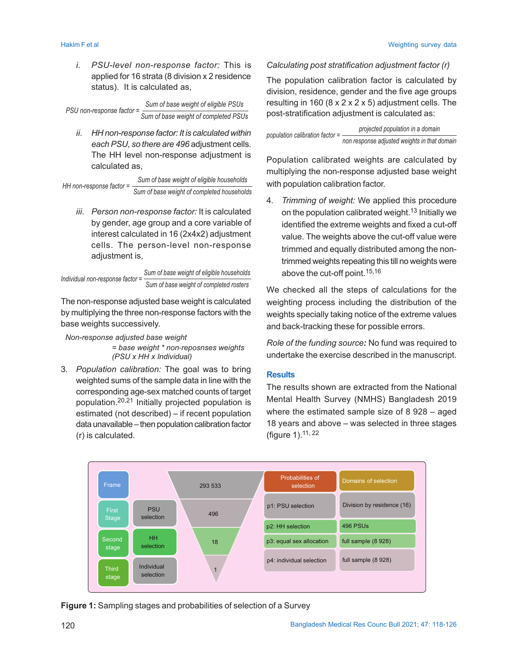*i. PSU-level non-response factor:* This is applied for 16 strata (8 division x 2 residence status).It is calculated as,

*Sum of base weight of eligible PSUs PSU* non-response factor =  $\frac{2}{\text{Sum of base weight of completed PSUs}}$ 

*ii. HH non-response factor: It is calculated within each PSU, so there are 496* adjustment cells. The HH level non-response adjustment is calculated as,

*Sum of base weight of eligible households Sum of base weight of completed households HH non-response factor =*

*iii. Person non-response factor:* It is calculated by gender, age group and a core variable of interest calculated in 16 (2x4x2) adjustment cells. The person-level non-response adjustment is,

```
Sum of base weight of eligible households
                                Sum of base weight of completed rosters
Individual non-response factor =
```
The non-response adjusted base weight is calculated by multiplying the three non-response factors with the base weights successively.

*Non-response adjusted base weight*

*= base weight \* non*-*reposnses weights (PSU x HH x Individual)*

3. *Population calibration:* The goal was to bring weighted sums of the sample data in line with the corresponding age-sex matched counts of target population.20,21 Initially projected population is estimated (not described) – if recent population data unavailable – then population calibration factor (r) is calculated.

# *Calculating post stratification adjustment factor (r)*

The population calibration factor is calculated by division, residence, gender and the five age groups resulting in 160 ( $8 \times 2 \times 2 \times 5$ ) adjustment cells. The post-stratification adjustment is calculated as:

*projected population in a domain non response adjusted weights in that domain population calibration factor =*

Population calibrated weights are calculated by multiplying the non-response adjusted base weight with population calibration factor.

4. *Trimming of weight:* We applied this procedure on the population calibrated weight.<sup>13</sup> Initially we identified the extreme weights and fixed a cut-off value. The weights above the cut-off value were trimmed and equally distributed among the nontrimmed weights repeating this till no weights were above the cut-off point.15,16

We checked all the steps of calculations for the weighting process including the distribution of the weights specially taking notice of the extreme values and back-tracking these for possible errors.

*Role of the funding source:* No fund was required to undertake the exercise described in the manuscript.

# **Results**

The results shown are extracted from the National Mental Health Survey (NMHS) Bangladesh 2019 where the estimated sample size of 8 928 – aged 18 years and above – was selected in three stages (figure 1).11, 22



**Figure 1:** Sampling stages and probabilities of selection of a Survey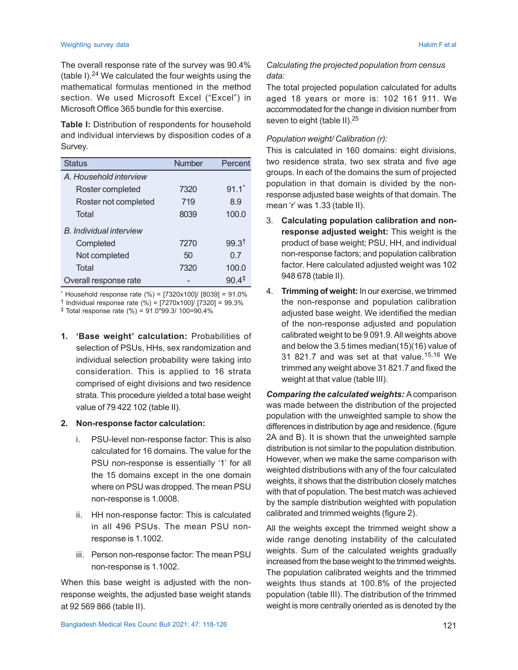#### Weighting survey data National Community of the Community of the Community of the Community of the Hakim F et al

The overall response rate of the survey was 90.4% (table I).<sup>24</sup> We calculated the four weights using the mathematical formulas mentioned in the method section. We used Microsoft Excel ("Excel") in Microsoft Office 365 bundle for this exercise.

**Table I:** Distribution of respondents for household and individual interviews by disposition codes of a Survey.

| <b>Status</b>                  | <b>Number</b> | Percent           |
|--------------------------------|---------------|-------------------|
| A. Household interview         |               |                   |
| Roster completed               | 7320          | $91.1*$           |
| Roster not completed           | 719           | 8.9               |
| Total                          | 8039          | 100.0             |
| <b>B.</b> Individual interview |               |                   |
| Completed                      | 7270          | 99.3 <sup>†</sup> |
| Not completed                  | 50            | 0.7               |
| Total                          | 7320          | 100.0             |
| Overall response rate          |               | 90.4 <sup>‡</sup> |

\* Household response rate (%) = [7320x100]/ [8039] = 91.0%

† Individual response rate (%) = [7270x100]/ [7320] = 99.3%

‡ Total response rate (%) = 91.0\*99.3/ 100=90.4%

**1. 'Base weight' calculation:** Probabilities of selection of PSUs, HHs, sex randomization and individual selection probability were taking into consideration. This is applied to 16 strata comprised of eight divisions and two residence strata. This procedure yielded a total base weight value of 79 422 102 (table II).

### **2. Non-response factor calculation:**

- i. PSU-level non-response factor: This is also calculated for 16 domains. The value for the PSU non-response is essentially '1' for all the 15 domains except in the one domain where on PSU was dropped. The mean PSU non-response is 1.0008.
- ii. HH non-response factor: This is calculated in all 496 PSUs. The mean PSU nonresponse is 1.1002.
- iii. Person non-response factor: The mean PSU non-response is 1.1002.

When this base weight is adjusted with the nonresponse weights, the adjusted base weight stands at 92 569 866 (table II).

3. **Calculating population calibration and nonresponse adjusted weight:** This weight is the product of base weight; PSU, HH, and individual non-response factors; and population calibration factor. Here calculated adjusted weight was 102 948 678 (table II).

*Calculating the projected population from census*

The total projected population calculated for adults aged 18 years or more is: 102 161 911. We accommodated for the change in division number from

This is calculated in 160 domains: eight divisions, two residence strata, two sex strata and five age groups. In each of the domains the sum of projected population in that domain is divided by the nonresponse adjusted base weights of that domain. The

*data:*

seven to eight (table II).<sup>25</sup>

mean 'r' was 1.33 (table II).

*Population weight/ Calibration (r):*

4. **Trimming of weight:** In our exercise, we trimmed the non-response and population calibration adjusted base weight. We identified the median of the non-response adjusted and population calibrated weight to be 9 091.9. All weights above and below the 3.5 times median(15)(16) value of 31 821.7 and was set at that value.15,16 We trimmed any weight above 31 821.7 and fixed the weight at that value (table III).

*Comparing the calculated weights:* A comparison was made between the distribution of the projected population with the unweighted sample to show the differences in distribution by age and residence. (figure 2A and B). It is shown that the unweighted sample distribution is not similar to the population distribution. However, when we make the same comparison with weighted distributions with any of the four calculated weights, it shows that the distribution closely matches with that of population. The best match was achieved by the sample distribution weighted with population calibrated and trimmed weights (figure 2).

All the weights except the trimmed weight show a wide range denoting instability of the calculated weights. Sum of the calculated weights gradually increased from the base weight to the trimmed weights. The population calibrated weights and the trimmed weights thus stands at 100.8% of the projected population (table III). The distribution of the trimmed weight is more centrally oriented as is denoted by the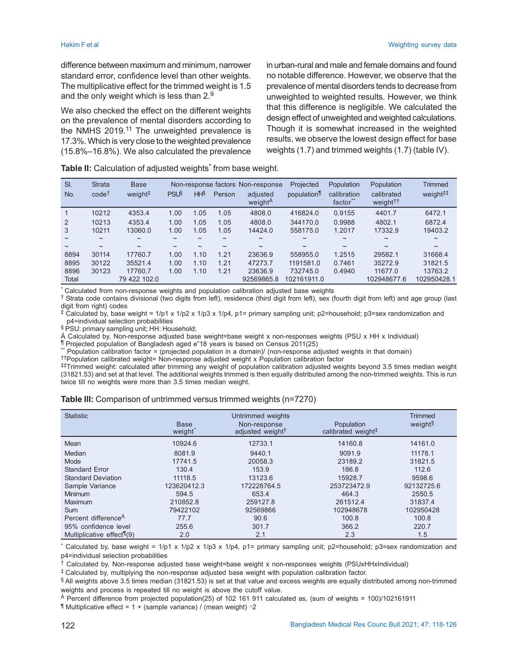difference between maximum and minimum, narrower standard error, confidence level than other weights. The multiplicative effect for the trimmed weight is 1.5 and the only weight which is less than 2.<sup>9</sup>

We also checked the effect on the different weights on the prevalence of mental disorders according to the NMHS 2019.<sup>11</sup> The unweighted prevalence is 17.3%. Which is very close to the weighted prevalence (15.8%–16.8%). We also calculated the prevalence in urban-rural and male and female domains and found no notable difference. However, we observe that the prevalence of mental disorders tends to decrease from unweighted to weighted results. However, we think that this difference is negligible. We calculated the design effect of unweighted and weighted calculations. Though it is somewhat increased in the weighted results, we observe the lowest design effect for base weights (1.7) and trimmed weights (1.7) (table IV).

|  |  | Table II: Calculation of adjusted weights <sup>*</sup> from base weight. |
|--|--|--------------------------------------------------------------------------|
|  |  |                                                                          |

| SI.<br>No.                | <b>Strata</b><br>$code^{\dagger}$ | <b>Base</b><br>weight <sup>#</sup> | <b>PSU<sup>§</sup></b>    | HHS                       | Person                    | Non-response factors Non-response<br>adjusted<br>weight <sup>A</sup> | Projected<br>population   | Population<br>calibration<br>factor** | Population<br>calibrated<br>weight <sup>††</sup> | <b>Trimmed</b><br>weight <sup>##</sup> |
|---------------------------|-----------------------------------|------------------------------------|---------------------------|---------------------------|---------------------------|----------------------------------------------------------------------|---------------------------|---------------------------------------|--------------------------------------------------|----------------------------------------|
|                           | 10212                             | 4353.4                             | 1.00                      | 1.05                      | 1.05                      | 4808.0                                                               | 416824.0                  | 0.9155                                | 4401.7                                           | 6472.1                                 |
| 2                         | 10213                             | 4353.4                             | 1.00                      | 1.05                      | 1.05                      | 4808.0                                                               | 344170.0                  | 0.9988                                | 4802.1                                           | 6872.4                                 |
| 3                         | 10211                             | 13060.0                            | 1.00                      | 1.05                      | 1.05                      | 14424.0                                                              | 558175.0                  | 1.2017                                | 17332.9                                          | 19403.2                                |
| $\widetilde{\phantom{m}}$ | $\tilde{}$                        | $\widetilde{\phantom{m}}$          | $\widetilde{\phantom{m}}$ | $\tilde{\phantom{a}}$     | $\widetilde{\phantom{m}}$ | $\tilde{}$                                                           | $\widetilde{\phantom{m}}$ | $\widetilde{\phantom{m}}$             | $\widetilde{\phantom{m}}$                        | $\tilde{}$                             |
| $\tilde{}$                | $\widetilde{\phantom{m}}$         | $\tilde{\phantom{a}}$              | $\tilde{\phantom{a}}$     | $\widetilde{\phantom{m}}$ | $\tilde{\phantom{a}}$     | $\tilde{}$                                                           | $\tilde{\phantom{a}}$     | $\tilde{}$                            | $\tilde{}$                                       | $\widetilde{\phantom{m}}$              |
| 8894                      | 30114                             | 17760.7                            | 1.00                      | 1.10                      | 1.21                      | 23636.9                                                              | 558955.0                  | 1.2515                                | 29582.1                                          | 31668.4                                |
| 8895                      | 30122                             | 35521.4                            | 1.00                      | 1.10                      | 1.21                      | 47273.7                                                              | 1191581.0                 | 0.7461                                | 35272.9                                          | 31821.5                                |
| 8896                      | 30123                             | 17760.7                            | 1.00                      | 1.10                      | 1.21                      | 23636.9                                                              | 732745.0                  | 0.4940                                | 11677.0                                          | 13763.2                                |
| Total                     |                                   | 79 422 102.0                       |                           |                           |                           | 92569865.8                                                           | 102161911.0               |                                       | 102948677.6                                      | 102950428.1                            |

\* Calculated from non-response weights and population calibration adjusted base weights

† Strata code contains divisional (two digits from left), residence (third digit from left), sex (fourth digit from left) and age group (last digit from right) codes

‡ Calculated by, base weight = 1/p1 x 1/p2 x 1/p3 x 1/p4, p1= primary sampling unit; p2=household; p3=sex randomization and p4=individual selection probabilities

§ PSU: primary sampling unit; HH: Household;

Á Calculated by, Non-response adjusted base weight=base weight x non-responses weights (PSU x HH x Individual) ¶ Projected population of Bangladesh aged e"18 years is based on Census 2011(25)

\*\* Population calibration factor = (projected population in a domain)/ (non-response adjusted weights in that domain)

††Population calibrated weight= Non-response adjusted weight x Population calibration factor

‡‡Trimmed weight: calculated after trimming any weight of population calibration adjusted weights beyond 3.5 times median weight (31821.53) and set at that level. The additional weights trimmed is then equally distributed among the non-trimmed weights. This is run twice till no weights were more than 3.5 times median weight.

| Table III: Comparison of untrimmed versus trimmed weights (n=7270) |  |  |
|--------------------------------------------------------------------|--|--|
|                                                                    |  |  |

| <b>Statistic</b>                         | <b>Base</b><br>weight <sup>*</sup> | Untrimmed weights<br>Non-response<br>adjusted weight <sup>+</sup> | Population<br>calibrated weight <sup>‡</sup> | <b>Trimmed</b><br>weight <sup>§</sup> |
|------------------------------------------|------------------------------------|-------------------------------------------------------------------|----------------------------------------------|---------------------------------------|
| Mean                                     | 10924.6                            | 12733.1                                                           | 14160.8                                      | 14161.0                               |
| Median                                   | 8081.9                             | 9440.1                                                            | 9091.9                                       | 11178.1                               |
| Mode                                     | 17741.5                            | 20058.3                                                           | 23189.2                                      | 31821.5                               |
| <b>Standard Error</b>                    | 130.4                              | 153.9                                                             | 186.8                                        | 112.6                                 |
| <b>Standard Deviation</b>                | 11118.5                            | 13123.6                                                           | 15928.7                                      | 9598.6                                |
| Sample Variance                          | 123620412.3                        | 172228764.5                                                       | 253723472.9                                  | 92132725.6                            |
| <b>Minimum</b>                           | 594.5                              | 653.4                                                             | 464.3                                        | 2550.5                                |
| <b>Maximum</b>                           | 210852.8                           | 259127.8                                                          | 261512.4                                     | 31837.4                               |
| <b>Sum</b>                               | 79422102                           | 92569866                                                          | 102948678                                    | 102950428                             |
| Percent difference <sup>A</sup>          | 77.7                               | 90.6                                                              | 100.8                                        | 100.8                                 |
| 95% confidence level                     | 255.6                              | 301.7                                                             | 366.2                                        | 220.7                                 |
| Multiplicative effect <sup>¶</sup> $(9)$ | 2.0                                | 2.1                                                               | 2.3                                          | 1.5                                   |

\* Calculated by, base weight = 1/p1 x 1/p2 x 1/p3 x 1/p4, p1= primary sampling unit; p2=household; p3=sex randomization and p4=individual selection probabilities

† Calculated by, Non-response adjusted base weight=base weight x non-responses weights (PSUxHHxIndividual)

‡ Calculated by, multiplying the non-response adjusted base weight with population calibration factor.

§ All weights above 3.5 times median (31821.53) is set at that value and excess weights are equally distributed among non-trimmed weights and process is repeated till no weight is above the cutoff value.

 $A$  Percent difference from projected population(25) of 102 161 911 calculated as, (sum of weights = 100)/102161911

 $\P$  Multiplicative effect = 1 + (sample variance) / (mean weight)  $\hat{}$  2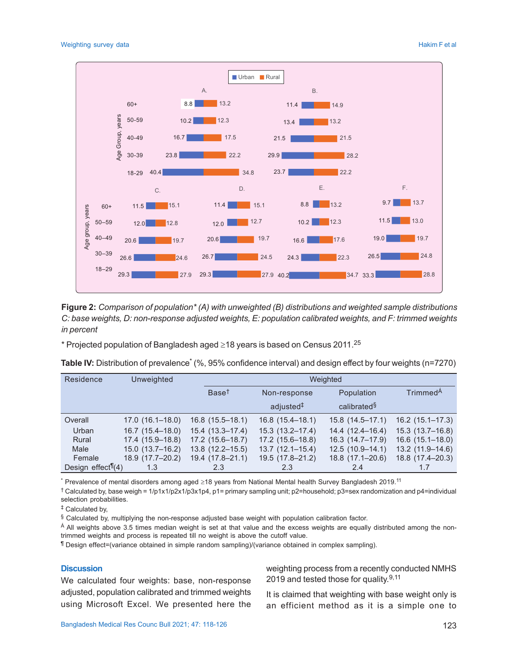

**Figure 2:** *Comparison of population\* (A) with unweighted (B) distributions and weighted sample distributions C: base weights, D: non-response adjusted weights, E: population calibrated weights, and F: trimmed weights in percent*

\* Projected population of Bangladesh aged  $\geq$ 18 years is based on Census 2011.<sup>25</sup>

| Table IV: Distribution of prevalence <sup>*</sup> (%, 95% confidence interval) and design effect by four weights (n=7270) |  |  |
|---------------------------------------------------------------------------------------------------------------------------|--|--|
|                                                                                                                           |  |  |

| Residence                           | <b>Unweighted</b>   |                     | Weighted              |                         |                      |  |
|-------------------------------------|---------------------|---------------------|-----------------------|-------------------------|----------------------|--|
|                                     |                     | Base <sup>t</sup>   | Non-response          |                         | Trimmed <sup>A</sup> |  |
|                                     |                     |                     | adjusted <sup>#</sup> | calibrated <sup>§</sup> |                      |  |
| Overall                             | $17.0(16.1-18.0)$   | $16.8(15.5-18.1)$   | $16.8(15.4-18.1)$     | $15.8(14.5 - 17.1)$     | $16.2$ (15.1-17.3)   |  |
| Urban                               | $16.7(15.4 - 18.0)$ | $15.4(13.3 - 17.4)$ | $15.3(13.2 - 17.4)$   | $14.4(12.4 - 16.4)$     | $15.3(13.7-16.8)$    |  |
| Rural                               | 17.4 (15.9-18.8)    | $17.2$ (15.6-18.7)  | $17.2(15.6-18.8)$     | $16.3(14.7-17.9)$       | $16.6(15.1-18.0)$    |  |
| Male                                | $15.0(13.7-16.2)$   | $13.8(12.2 - 15.5)$ | $13.7(12.1 - 15.4)$   | $12.5(10.9-14.1)$       | $13.2(11.9 - 14.6)$  |  |
| Female                              | 18.9 (17.7-20.2)    | 19.4 (17.8-21.1)    | 19.5 (17.8-21.2)      | $18.8(17.1 - 20.6)$     | 18.8 (17.4-20.3)     |  |
| Design effect <sup>[1</sup> $(4)$ ] | 1.3                 | 2.3                 | 2.3                   | 2.4                     |                      |  |

 $^{\ast}$  Prevalence of mental disorders among aged ≥18 years from National Mental health Survey Bangladesh 2019. $^{11}$ 

† Calculated by, base weigh = 1/p1x1/p2x1/p3x1p4, p1= primary sampling unit; p2=household; p3=sex randomization and p4=individual selection probabilities.

‡ Calculated by,

 $§$  Calculated by, multiplying the non-response adjusted base weight with population calibration factor.

<sup>Á</sup> All weights above 3.5 times median weight is set at that value and the excess weights are equally distributed among the nontrimmed weights and process is repeated till no weight is above the cutoff value.

¶ Design effect=(variance obtained in simple random sampling)/(variance obtained in complex sampling).

### **Discussion**

We calculated four weights: base, non-response adjusted, population calibrated and trimmed weights using Microsoft Excel. We presented here the weighting process from a recently conducted NMHS 2019 and tested those for quality.<sup>9,11</sup>

It is claimed that weighting with base weight only is an efficient method as it is a simple one to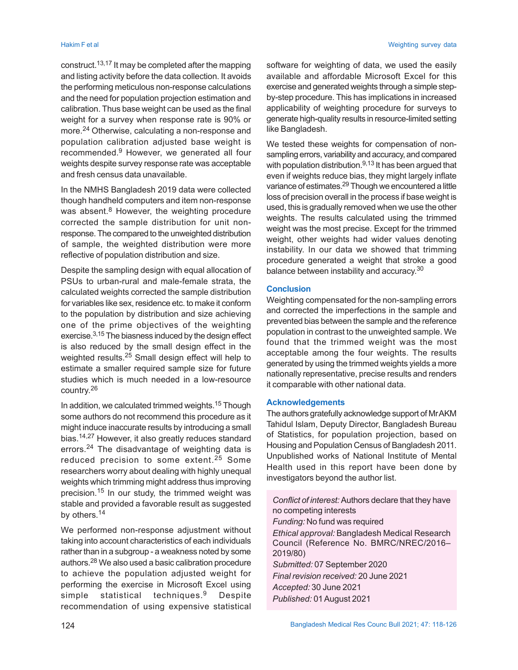construct.13,17 It may be completed after the mapping and listing activity before the data collection. It avoids the performing meticulous non-response calculations and the need for population projection estimation and calibration. Thus base weight can be used as the final weight for a survey when response rate is 90% or more.24 Otherwise, calculating a non-response and population calibration adjusted base weight is recommended.<sup>9</sup> However, we generated all four weights despite survey response rate was acceptable and fresh census data unavailable.

In the NMHS Bangladesh 2019 data were collected though handheld computers and item non-response was absent.<sup>8</sup> However, the weighting procedure corrected the sample distribution for unit nonresponse. The compared to the unweighted distribution of sample, the weighted distribution were more reflective of population distribution and size.

Despite the sampling design with equal allocation of PSUs to urban-rural and male-female strata, the calculated weights corrected the sample distribution for variables like sex, residence etc. to make it conform to the population by distribution and size achieving one of the prime objectives of the weighting exercise.3,15 The biasness induced by the design effect is also reduced by the small design effect in the weighted results.25 Small design effect will help to estimate a smaller required sample size for future studies which is much needed in a low-resource country. 26

In addition, we calculated trimmed weights.<sup>15</sup> Though some authors do not recommend this procedure as it might induce inaccurate results by introducing a small bias.14,27 However, it also greatly reduces standard errors.24 The disadvantage of weighting data is reduced precision to some extent.25 Some researchers worry about dealing with highly unequal weights which trimming might address thus improving precision.15 In our study, the trimmed weight was stable and provided a favorable result as suggested by others.<sup>14</sup>

We performed non-response adjustment without taking into account characteristics of each individuals rather than in a subgroup - a weakness noted by some authors.28 We also used a basic calibration procedure to achieve the population adjusted weight for performing the exercise in Microsoft Excel using simple statistical techniques.<sup>9</sup> Despite recommendation of using expensive statistical

software for weighting of data, we used the easily available and affordable Microsoft Excel for this exercise and generated weights through a simple stepby-step procedure. This has implications in increased applicability of weighting procedure for surveys to generate high-quality results in resource-limited setting like Bangladesh.

We tested these weights for compensation of nonsampling errors, variability and accuracy, and compared with population distribution.<sup>9,13</sup> It has been argued that even if weights reduce bias, they might largely inflate variance of estimates.<sup>29</sup> Though we encountered a little loss of precision overall in the process if base weight is used, this is gradually removed when we use the other weights. The results calculated using the trimmed weight was the most precise. Except for the trimmed weight, other weights had wider values denoting instability. In our data we showed that trimming procedure generated a weight that stroke a good balance between instability and accuracy. $^{\rm 30}$ 

### **Conclusion**

Weighting compensated for the non-sampling errors and corrected the imperfections in the sample and prevented bias between the sample and the reference population in contrast to the unweighted sample. We found that the trimmed weight was the most acceptable among the four weights. The results generated by using the trimmed weights yields a more nationally representative, precise results and renders it comparable with other national data.

# **Acknowledgements**

The authors gratefully acknowledge support of Mr AKM Tahidul Islam, Deputy Director, Bangladesh Bureau of Statistics, for population projection, based on Housing and Population Census of Bangladesh 2011. Unpublished works of National Institute of Mental Health used in this report have been done by investigators beyond the author list.

*Conflict of interest:* Authors declare that they have no competing interests *Funding:* No fund was required *Ethical approval:* Bangladesh Medical Research Council (Reference No. BMRC/NREC/2016– 2019/80) *Submitted:* 07 September 2020 *Final revision received:* 20 June 2021 *Accepted:* 30 June 2021 *Published:* 01August 2021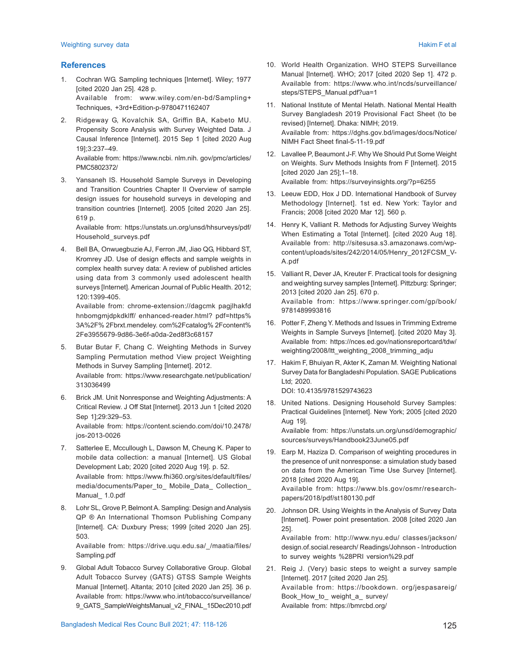#### **References**

- 1. Cochran WG. Sampling techniques [Internet]. Wiley; 1977 [cited 2020 Jan 25]. 428 p. Available from: www.wiley.com/en-bd/Sampling+ Techniques, +3rd+Edition-p-9780471162407
- 2. Ridgeway G, Kovalchik SA, Griffin BA, Kabeto MU. Propensity Score Analysis with Survey Weighted Data. J Causal Inference [Internet]. 2015 Sep 1 [cited 2020 Aug 19];3:237–49.

Available from: https://www.ncbi. nlm.nih. gov/pmc/articles/ PMC5802372/

3. Yansaneh IS. Household Sample Surveys in Developing and Transition Countries Chapter II Overview of sample design issues for household surveys in developing and transition countries [Internet]. 2005 [cited 2020 Jan 25]. 619 p.

Available from: https://unstats.un.org/unsd/hhsurveys/pdf/ Household\_surveys.pdf

4. Bell BA, Onwuegbuzie AJ, Ferron JM, Jiao QG, Hibbard ST, Kromrey JD. Use of design effects and sample weights in complex health survey data: A review of published articles using data from 3 commonly used adolescent health surveys [Internet]. American Journal of Public Health. 2012; 120:1399-405.

Available from: chrome-extension://dagcmk pagjlhakfd hnbomgmjdpkdklff/ enhanced-reader.html? pdf=https% 3A%2F% 2Fbrxt.mendeley. com%2Fcatalog% 2Fcontent% 2Fe3955679-9d86-3e6f-a0da-2ed8f3c68157

- 5. Butar Butar F, Chang C. Weighting Methods in Survey Sampling Permutation method View project Weighting Methods in Survey Sampling [Internet]. 2012. Available from: https://www.researchgate.net/publication/ 313036499
- 6. Brick JM. Unit Nonresponse and Weighting Adjustments: A Critical Review. J Off Stat [Internet]. 2013 Jun 1 [cited 2020 Sep 1];29:329–53. Available from: https://content.sciendo.com/doi/10.2478/ jos-2013-0026
- 7. Satterlee E, Mccullough L, Dawson M, Cheung K. Paper to mobile data collection: a manual [Internet]. US Global Development Lab; 2020 [cited 2020 Aug 19]. p. 52. Available from: https://www.fhi360.org/sites/default/files/ media/documents/Paper\_to\_ Mobile\_Data\_ Collection\_ Manual\_ 1.0.pdf
- 8. Lohr SL, Grove P, Belmont A. Sampling: Design and Analysis QP ® An International Thomson Publishing Company [Internet]. CA: Duxbury Press; 1999 [cited 2020 Jan 25]. 503.

Available from: https://drive.uqu.edu.sa/\_/maatia/files/ Sampling.pdf

- 9. Global Adult Tobacco Survey Collaborative Group. Global Adult Tobacco Survey (GATS) GTSS Sample Weights Manual [Internet]. Altanta; 2010 [cited 2020 Jan 25]. 36 p. Available from: https://www.who.int/tobacco/surveillance/ 9\_GATS\_SampleWeightsManual\_v2\_FINAL\_15Dec2010.pdf
- Bangladesh Medical Res Counc Bull 2021; 47: 118-126 125
- 10. World Health Organization. WHO STEPS Surveillance Manual [Internet]. WHO; 2017 [cited 2020 Sep 1]. 472 p. Available from: https://www.who.int/ncds/surveillance/ steps/STEPS\_Manual.pdf?ua=1
- 11. National Institute of Mental Helath. National Mental Health Survey Bangladesh 2019 Provisional Fact Sheet (to be revised) [Internet]. Dhaka: NIMH; 2019. Available from: https://dghs.gov.bd/images/docs/Notice/ NIMH Fact Sheet final-5-11-19.pdf
- 12. Lavallee P, Beaumont J-F. Why We Should Put Some Weight on Weights. Surv Methods Insights from F [Internet]. 2015 [cited 2020 Jan 25];1–18. Available from: https://surveyinsights.org/?p=6255
- 13. Leeuw EDD, Hox J DD. International Handbook of Survey Methodology [Internet]. 1st ed. New York: Taylor and Francis; 2008 [cited 2020 Mar 12]. 560 p.
- 14. Henry K, Valliant R. Methods for Adjusting Survey Weights When Estimating a Total [Internet]. [cited 2020 Aug 18]. Available from: http://sitesusa.s3.amazonaws.com/wpcontent/uploads/sites/242/2014/05/Henry\_2012FCSM\_V-A.pdf
- 15. Valliant R, Dever JA, Kreuter F. Practical tools for designing and weighting survey samples [Internet]. Pittzburg: Springer; 2013 [cited 2020 Jan 25]. 670 p. Available from: https://www.springer.com/gp/book/ 9781489993816
- 16. Potter F, Zheng Y. Methods and Issues in Trimming Extreme Weights in Sample Surveys [Internet]. [cited 2020 May 3]. Available from: https://nces.ed.gov/nationsreportcard/tdw/ weighting/2008/ltt\_weighting\_2008\_trimming\_adju
- 17. Hakim F, Bhuiyan R, Akter K, Zaman M. Weighting National Survey Data for Bangladeshi Population. SAGE Publications Ltd; 2020. DOI: 10.4135/9781529743623
- 18. United Nations. Designing Household Survey Samples: Practical Guidelines [Internet]. New York; 2005 [cited 2020 Aug 19].

Available from: https://unstats.un.org/unsd/demographic/ sources/surveys/Handbook23June05.pdf

19. Earp M, Haziza D. Comparison of weighting procedures in the presence of unit nonresponse: a simulation study based on data from the American Time Use Survey [Internet]. 2018 [cited 2020 Aug 19].

Available from: https://www.bls.gov/osmr/researchpapers/2018/pdf/st180130.pdf

20. Johnson DR. Using Weights in the Analysis of Survey Data [Internet]. Power point presentation. 2008 [cited 2020 Jan 25].

Available from: http://www.nyu.edu/ classes/jackson/ design.of.social.research/ Readings/Johnson - Introduction to survey weights %28PRI version%29.pdf

21. Reig J. (Very) basic steps to weight a survey sample [Internet]. 2017 [cited 2020 Jan 25]. Available from: https://bookdown. org/jespasareig/ Book How to weight a survey/ Available from: https://bmrcbd.org/